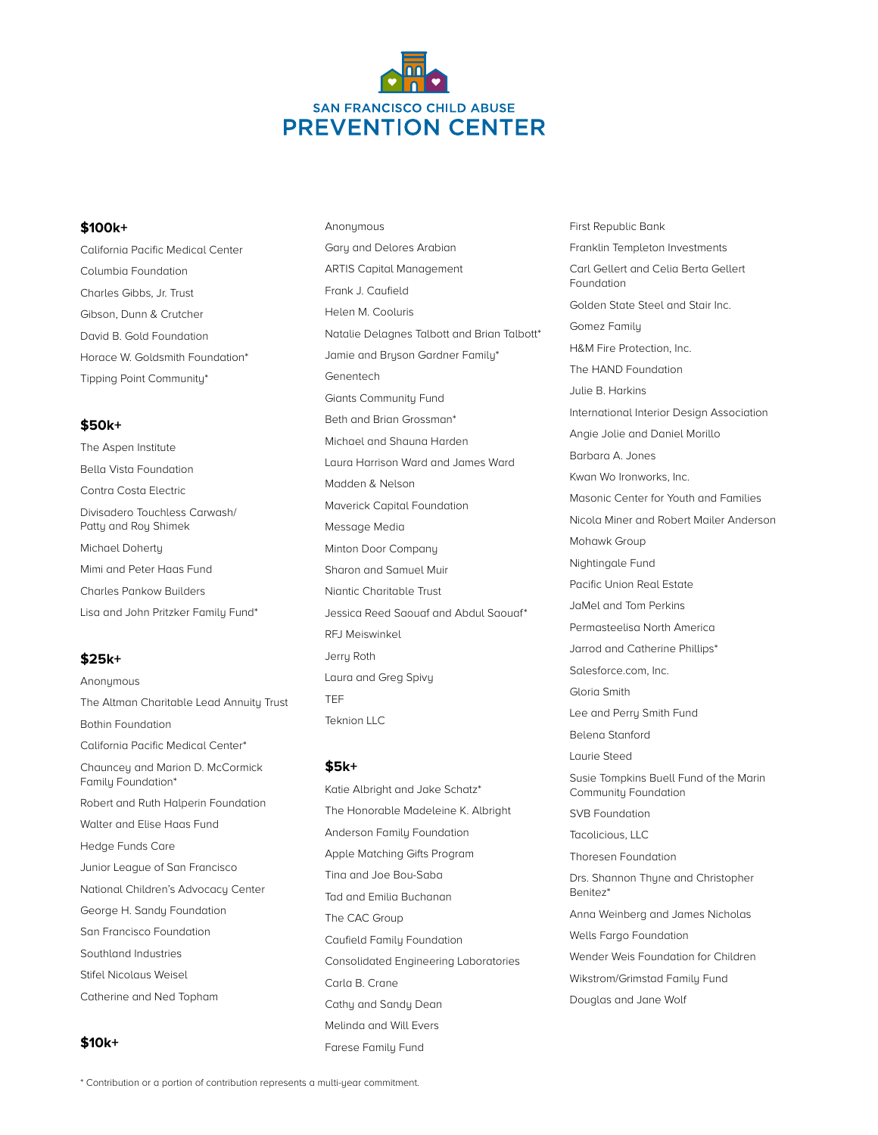

Anonymous

## **\$100k+**

California Pacific Medical Center Columbia Foundation Charles Gibbs, Jr. Trust Gibson, Dunn & Crutcher David B. Gold Foundation Horace W. Goldsmith Foundation\* Tipping Point Community\*

# **\$50k+**

The Aspen Institute Bella Vista Foundation Contra Costa Electric Divisadero Touchless Carwash/ Patty and Roy Shimek Michael Doherty Mimi and Peter Haas Fund Charles Pankow Builders Lisa and John Pritzker Family Fund\*

## **\$25k+**

Anonymous The Altman Charitable Lead Annuity Trust Bothin Foundation California Pacific Medical Center\* Chauncey and Marion D. McCormick Family Foundation\* Robert and Ruth Halperin Foundation Walter and Elise Haas Fund Hedge Funds Care Junior League of San Francisco National Children's Advocacy Center George H. Sandy Foundation San Francisco Foundation Southland Industries Stifel Nicolaus Weisel Catherine and Ned Topham

## **\$10k+**

Gary and Delores Arabian ARTIS Capital Management Frank J. Caufield Helen M. Cooluris Natalie Delagnes Talbott and Brian Talbott\* Jamie and Bryson Gardner Family\* Genentech Giants Community Fund Beth and Brian Grossman\* Michael and Shauna Harden Laura Harrison Ward and James Ward Madden & Nelson Maverick Capital Foundation Message Media Minton Door Company Sharon and Samuel Muir Niantic Charitable Trust Jessica Reed Saouaf and Abdul Saouaf\* RFJ Meiswinkel Jerry Roth Laura and Greg Spivy TEF Teknion LLC

#### **\$5k+**

Katie Albright and Jake Schatz\* The Honorable Madeleine K. Albright Anderson Family Foundation Apple Matching Gifts Program Tina and Joe Bou-Saba Tad and Emilia Buchanan The CAC Group Caufield Family Foundation Consolidated Engineering Laboratories Carla B. Crane Cathy and Sandy Dean Melinda and Will Evers Farese Family Fund

First Republic Bank Franklin Templeton Investments Carl Gellert and Celia Berta Gellert Foundation Golden State Steel and Stair Inc. Gomez Family H&M Fire Protection, Inc. The HAND Foundation Julie B. Harkins International Interior Design Association Angie Jolie and Daniel Morillo Barbara A. Jones Kwan Wo Ironworks, Inc. Masonic Center for Youth and Families Nicola Miner and Robert Mailer Anderson Mohawk Group Nightingale Fund Pacific Union Real Estate JaMel and Tom Perkins Permasteelisa North America Jarrod and Catherine Phillips\* Salesforce.com, Inc. Gloria Smith Lee and Perry Smith Fund Belena Stanford Laurie Steed Susie Tompkins Buell Fund of the Marin Community Foundation SVB Foundation Tacolicious, LLC Thoresen Foundation Drs. Shannon Thyne and Christopher Benitez\* Anna Weinberg and James Nicholas Wells Fargo Foundation Wender Weis Foundation for Children Wikstrom/Grimstad Family Fund Douglas and Jane Wolf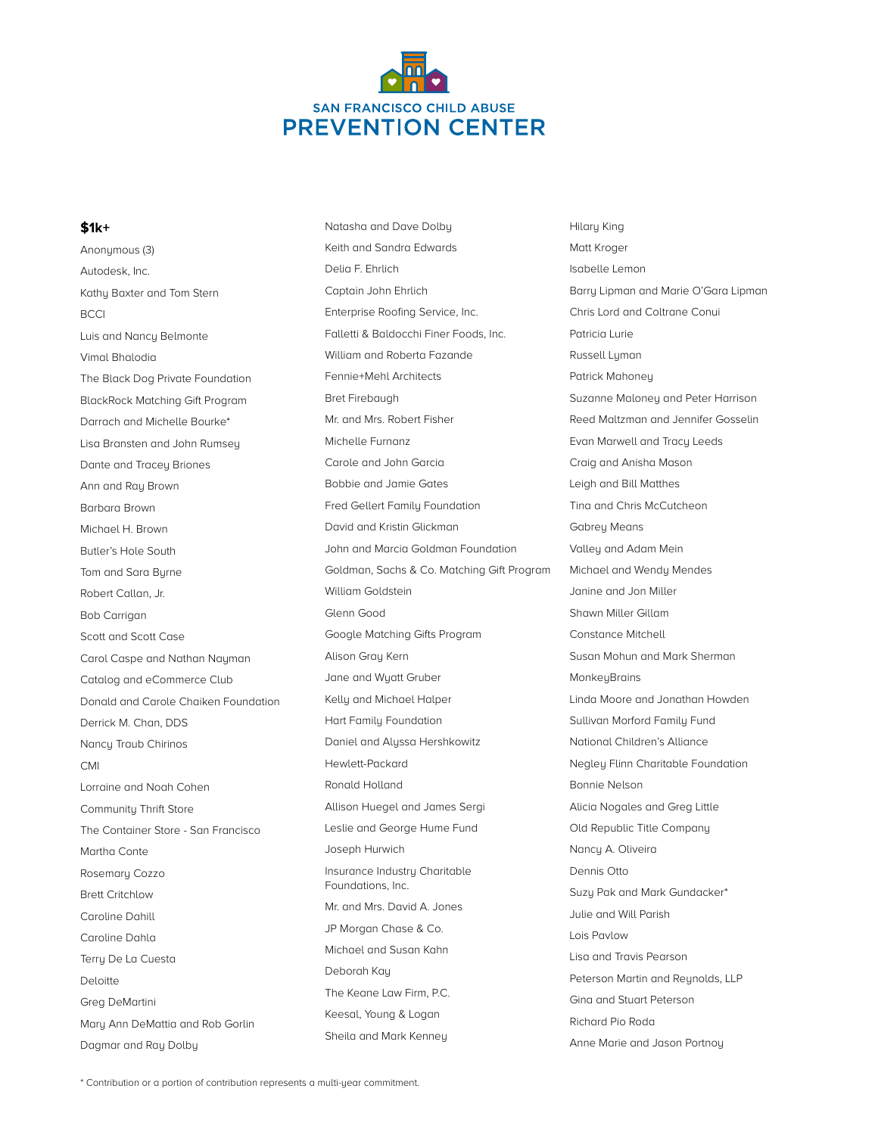

### **\$1k+**

Anonymous (3) Autodesk, Inc. Kathy Baxter and Tom Stern BCCI Luis and Nancy Belmonte Vimal Bhalodia The Black Dog Private Foundation BlackRock Matching Gift Program Darrach and Michelle Bourke\* Lisa Bransten and John Rumsey Dante and Tracey Briones Ann and Ray Brown Barbara Brown Michael H. Brown Butler's Hole South Tom and Sara Byrne Robert Callan, Jr. Bob Carrigan Scott and Scott Case Carol Caspe and Nathan Nayman Catalog and eCommerce Club Donald and Carole Chaiken Foundation Derrick M. Chan, DDS Nancy Traub Chirinos CMI Lorraine and Noah Cohen Community Thrift Store The Container Store - San Francisco Martha Conte Rosemary Cozzo Brett Critchlow Caroline Dahill Caroline Dahla Terry De La Cuesta Deloitte Greg DeMartini Mary Ann DeMattia and Rob Gorlin Dagmar and Ray Dolby

Natasha and Dave Dolby Keith and Sandra Edwards Delia F. Ehrlich Captain John Ehrlich Enterprise Roofing Service, Inc. Falletti & Baldocchi Finer Foods, Inc. William and Roberta Fazande Fennie+Mehl Architects Bret Firebaugh Mr. and Mrs. Robert Fisher Michelle Furnanz Carole and John Garcia Bobbie and Jamie Gates Fred Gellert Family Foundation David and Kristin Glickman John and Marcia Goldman Foundation Goldman, Sachs & Co. Matching Gift Program William Goldstein Glenn Good Google Matching Gifts Program Alison Gray Kern Jane and Wyatt Gruber Kelly and Michael Halper Hart Family Foundation Daniel and Alyssa Hershkowitz Hewlett-Packard Ronald Holland Allison Huegel and James Sergi Leslie and George Hume Fund Joseph Hurwich Insurance Industry Charitable Foundations, Inc. Mr. and Mrs. David A. Jones JP Morgan Chase & Co. Michael and Susan Kahn Deborah Kay The Keane Law Firm, P.C. Keesal, Young & Logan Sheila and Mark Kenney

Hilary King Matt Kroger Isabelle Lemon Barry Lipman and Marie O'Gara Lipman Chris Lord and Coltrane Conui Patricia Lurie Russell Lyman Patrick Mahoney Suzanne Maloney and Peter Harrison Reed Maltzman and Jennifer Gosselin Evan Marwell and Tracy Leeds Craig and Anisha Mason Leigh and Bill Matthes Tina and Chris McCutcheon Gabrey Means Valley and Adam Mein Michael and Wendy Mendes Janine and Jon Miller Shawn Miller Gillam Constance Mitchell Susan Mohun and Mark Sherman **MonkeyBrains** Linda Moore and Jonathan Howden Sullivan Morford Family Fund National Children's Alliance Negley Flinn Charitable Foundation Bonnie Nelson Alicia Nogales and Greg Little Old Republic Title Company Nancy A. Oliveira Dennis Otto Suzy Pak and Mark Gundacker\* Julie and Will Parish Lois Pavlow Lisa and Travis Pearson Peterson Martin and Reynolds, LLP Gina and Stuart Peterson Richard Pio Roda Anne Marie and Jason Portnoy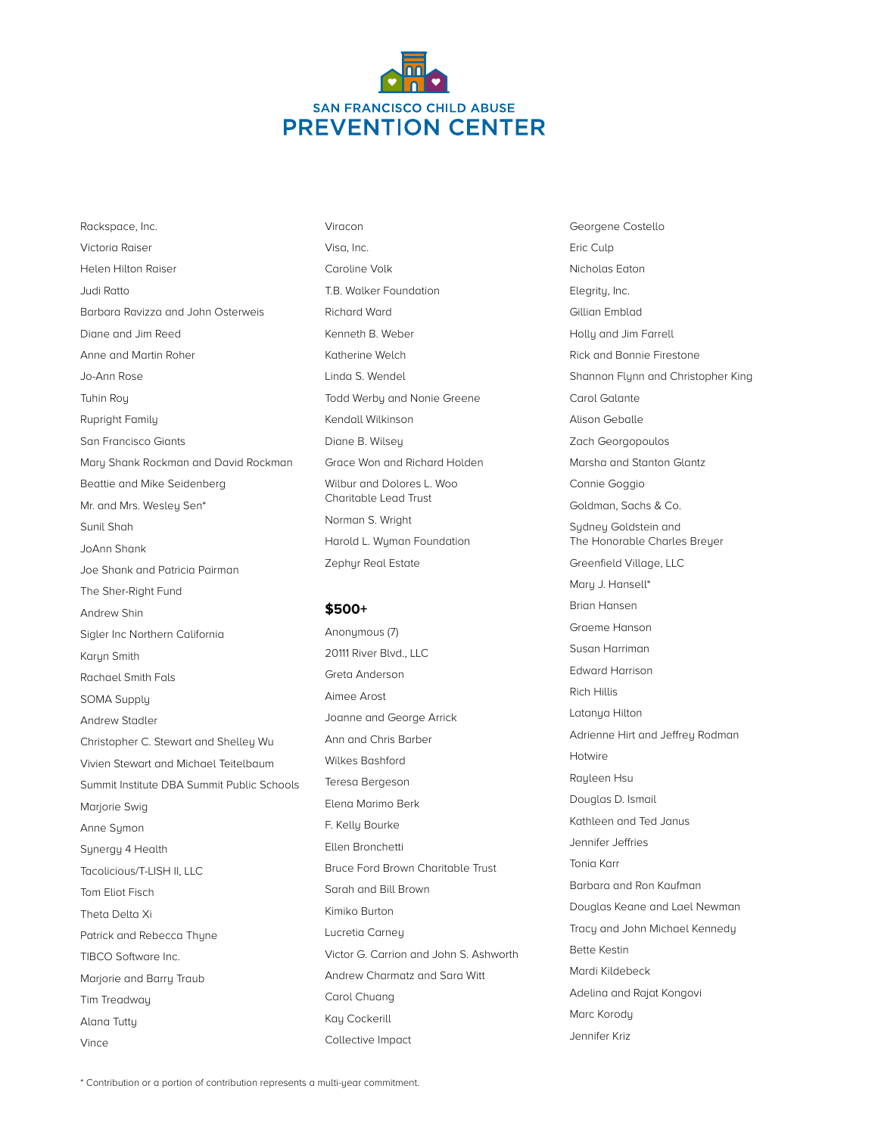

Rackspace, Inc. Victoria Raiser Helen Hilton Raiser Judi Ratto Barbara Ravizza and John Osterweis Diane and Jim Reed Anne and Martin Roher Jo-Ann Rose Tuhin Roy Rupright Family San Francisco Giants Mary Shank Rockman and David Rockman Beattie and Mike Seidenberg Mr. and Mrs. Wesley Sen\* Sunil Shah JoAnn Shank Joe Shank and Patricia Pairman The Sher-Right Fund Andrew Shin Sigler Inc Northern California Karyn Smith Rachael Smith Fals SOMA Supply Andrew Stadler Christopher C. Stewart and Shelley Wu Vivien Stewart and Michael Teitelbaum Summit Institute DBA Summit Public Schools Marjorie Swig Anne Symon Synergy 4 Health Tacolicious/T-LISH II, LLC Tom Eliot Fisch Theta Delta Xi Patrick and Rebecca Thyne TIBCO Software Inc. Marjorie and Barry Traub Tim Treadway Alana Tutty

Visa, Inc. Caroline Volk T.B. Walker Foundation Richard Ward Kenneth B. Weber Katherine Welch Linda S. Wendel Todd Werby and Nonie Greene Kendall Wilkinson Diane B. Wilsey Grace Won and Richard Holden Wilbur and Dolores L. Woo Charitable Lead Trust Norman S. Wright Harold L. Wyman Foundation

#### **\$500+**

Zephyr Real Estate

Viracon

Anonymous (7) 20111 River Blvd., LLC Greta Anderson Aimee Arost Joanne and George Arrick Ann and Chris Barber Wilkes Bashford Teresa Bergeson Elena Marimo Berk F. Kelly Bourke Ellen Bronchetti Bruce Ford Brown Charitable Trust Sarah and Bill Brown Kimiko Burton Lucretia Carney Victor G. Carrion and John S. Ashworth Andrew Charmatz and Sara Witt Carol Chuang Kay Cockerill Collective Impact

Georgene Costello Eric Culp Nicholas Eaton Elegrity, Inc. Gillian Emblad Holly and Jim Farrell Rick and Bonnie Firestone Shannon Flynn and Christopher King Carol Galante Alison Geballe Zach Georgopoulos Marsha and Stanton Glantz Connie Goggio Goldman, Sachs & Co. Sydney Goldstein and The Honorable Charles Breyer Greenfield Village, LLC Mary J. Hansell\* Brian Hansen Graeme Hanson Susan Harriman Edward Harrison Rich Hillis Latanya Hilton Adrienne Hirt and Jeffrey Rodman Hotwire Rayleen Hsu Douglas D. Ismail Kathleen and Ted Janus Jennifer Jeffries Tonia Karr Barbara and Ron Kaufman Douglas Keane and Lael Newman Tracy and John Michael Kennedy Bette Kestin Mardi Kildebeck Adelina and Rajat Kongovi Marc Korody Jennifer Kriz

Vince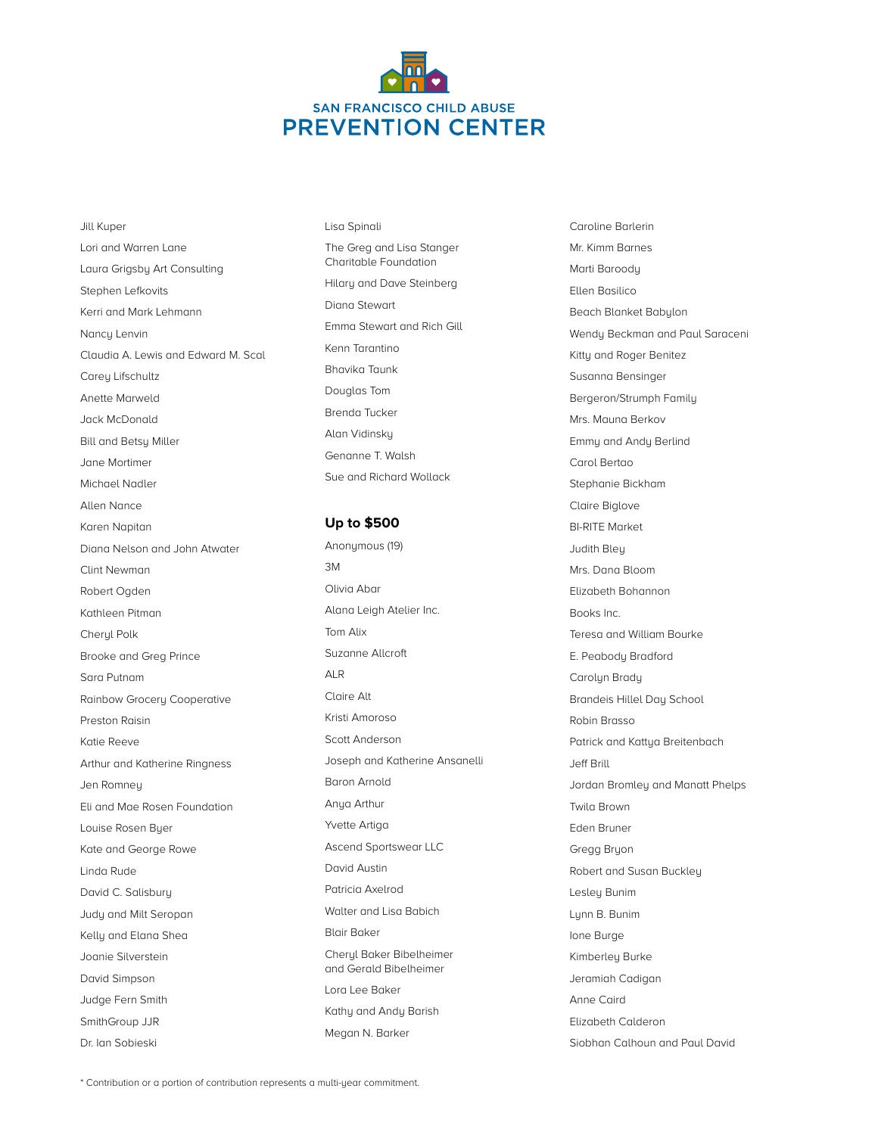

Jill Kuper Lori and Warren Lane Laura Grigsby Art Consulting Stephen Lefkovits Kerri and Mark Lehmann Nancy Lenvin Claudia A. Lewis and Edward M. Scal Carey Lifschultz Anette Marweld Jack McDonald Bill and Betsy Miller Jane Mortimer Michael Nadler Allen Nance Karen Napitan Diana Nelson and John Atwater Clint Newman Robert Ogden Kathleen Pitman Cheryl Polk Brooke and Greg Prince Sara Putnam Rainbow Grocery Cooperative Preston Raisin Katie Reeve Arthur and Katherine Ringness Jen Romney Eli and Mae Rosen Foundation Louise Rosen Byer Kate and George Rowe Linda Rude David C. Salisbury Judy and Milt Seropan Kelly and Elana Shea Joanie Silverstein David Simpson Judge Fern Smith SmithGroup JJR Dr. Ian Sobieski

Lisa Spinali The Greg and Lisa Stanger Charitable Foundation Hilary and Dave Steinberg Diana Stewart Emma Stewart and Rich Gill Kenn Tarantino Bhavika Taunk Douglas Tom Brenda Tucker Alan Vidinsky Genanne T. Walsh Sue and Richard Wollack

## **Up to \$500**

Anonymous (19) 3M Olivia Abar Alana Leigh Atelier Inc. Tom Alix Suzanne Allcroft ALR Claire Alt Kristi Amoroso Scott Anderson Joseph and Katherine Ansanelli Baron Arnold Anya Arthur Yvette Artiga Ascend Sportswear LLC David Austin Patricia Axelrod Walter and Lisa Babich Blair Baker Cheryl Baker Bibelheimer and Gerald Bibelheimer Lora Lee Baker Kathy and Andy Barish Megan N. Barker

Caroline Barlerin Mr. Kimm Barnes Marti Baroody Ellen Basilico Beach Blanket Babylon Wendy Beckman and Paul Saraceni Kitty and Roger Benitez Susanna Bensinger Bergeron/Strumph Family Mrs. Mauna Berkov Emmy and Andy Berlind Carol Bertao Stephanie Bickham Claire Biglove BI-RITE Market Judith Bley Mrs. Dana Bloom Elizabeth Bohannon Books Inc. Teresa and William Bourke E. Peabody Bradford Carolyn Brady Brandeis Hillel Day School Robin Brasso Patrick and Kattya Breitenbach Jeff Brill Jordan Bromley and Manatt Phelps Twila Brown Eden Bruner Gregg Bryon Robert and Susan Buckley Lesley Bunim Lynn B. Bunim Ione Burge Kimberley Burke Jeramiah Cadigan Anne Caird Elizabeth Calderon Siobhan Calhoun and Paul David

\* Contribution or a portion of contribution represents a multi-year commitment.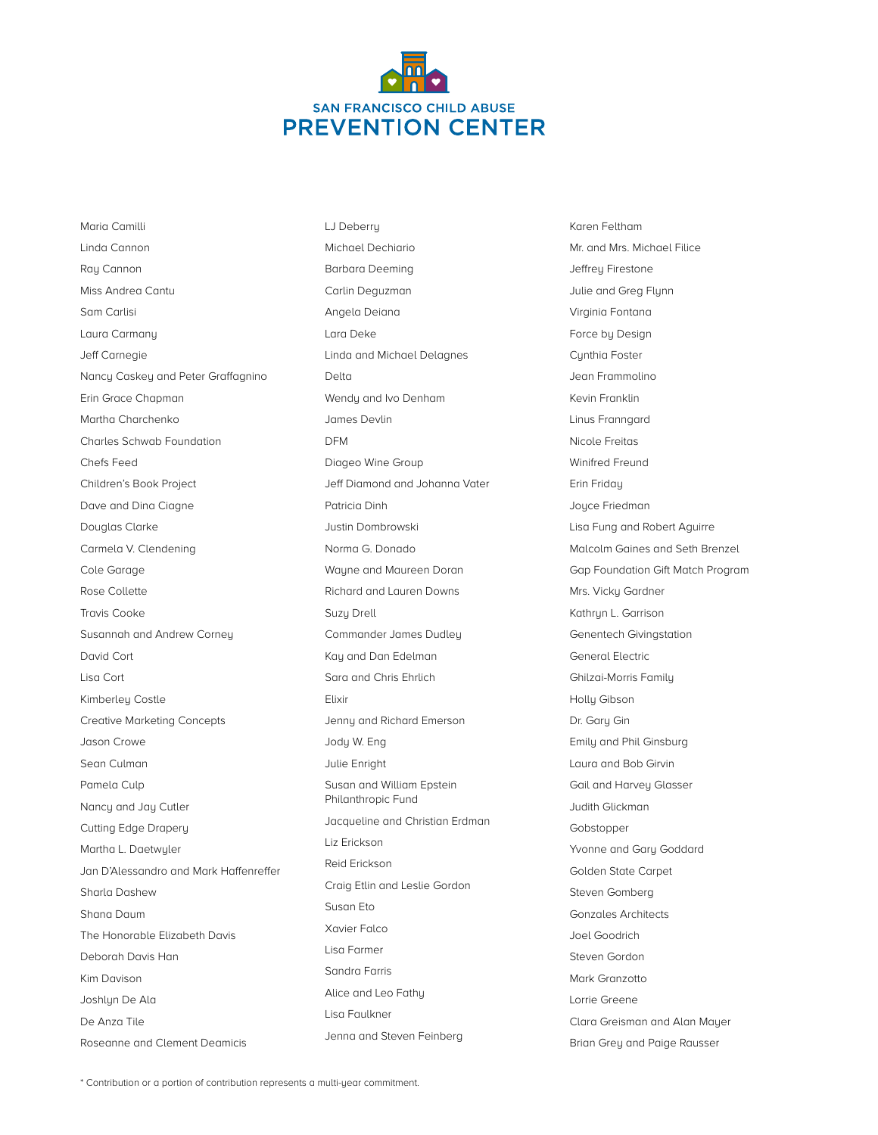

LJ Deberry

Maria Camilli Linda Cannon Ray Cannon Miss Andrea Cantu Sam Carlisi Laura Carmany Jeff Carnegie Nancy Caskey and Peter Graffagnino Erin Grace Chapman Martha Charchenko Charles Schwab Foundation Chefs Feed Children's Book Project Dave and Dina Ciagne Douglas Clarke Carmela V. Clendening Cole Garage Rose Collette Travis Cooke Susannah and Andrew Corney David Cort Lisa Cort Kimberley Costle Creative Marketing Concepts Jason Crowe Sean Culman Pamela Culp Nancy and Jay Cutler Cutting Edge Drapery Martha L. Daetwyler Jan D'Alessandro and Mark Haffenreffer Sharla Dashew Shana Daum The Honorable Elizabeth Davis Deborah Davis Han Kim Davison Joshlyn De Ala De Anza Tile

Michael Dechiario Barbara Deeming Carlin Deguzman Angela Deiana Lara Deke Linda and Michael Delagnes Delta Wendy and Ivo Denham James Devlin DFM Diageo Wine Group Jeff Diamond and Johanna Vater Patricia Dinh Justin Dombrowski Norma G. Donado Wayne and Maureen Doran Richard and Lauren Downs Suzy Drell Commander James Dudley Kay and Dan Edelman Sara and Chris Ehrlich Elixir Jenny and Richard Emerson Jody W. Eng Julie Enright Susan and William Epstein Philanthropic Fund Jacqueline and Christian Erdman Liz Erickson Reid Erickson Craig Etlin and Leslie Gordon Susan Eto Xavier Falco Lisa Farmer Sandra Farris Alice and Leo Fathy Lisa Faulkner Jenna and Steven Feinberg

Karen Feltham Mr. and Mrs. Michael Filice Jeffrey Firestone Julie and Greg Flynn Virginia Fontana Force by Design Cynthia Foster Jean Frammolino Kevin Franklin Linus Franngard Nicole Freitas Winifred Freund Erin Friday Joyce Friedman Lisa Fung and Robert Aguirre Malcolm Gaines and Seth Brenzel Gap Foundation Gift Match Program Mrs. Vicky Gardner Kathryn L. Garrison Genentech Givingstation General Electric Ghilzai-Morris Family Holly Gibson Dr. Gary Gin Emily and Phil Ginsburg Laura and Bob Girvin Gail and Harvey Glasser Judith Glickman Gobstopper Yvonne and Gary Goddard Golden State Carpet Steven Gomberg Gonzales Architects Joel Goodrich Steven Gordon Mark Granzotto Lorrie Greene Clara Greisman and Alan Mayer Brian Grey and Paige Rausser

\* Contribution or a portion of contribution represents a multi-year commitment.

Roseanne and Clement Deamicis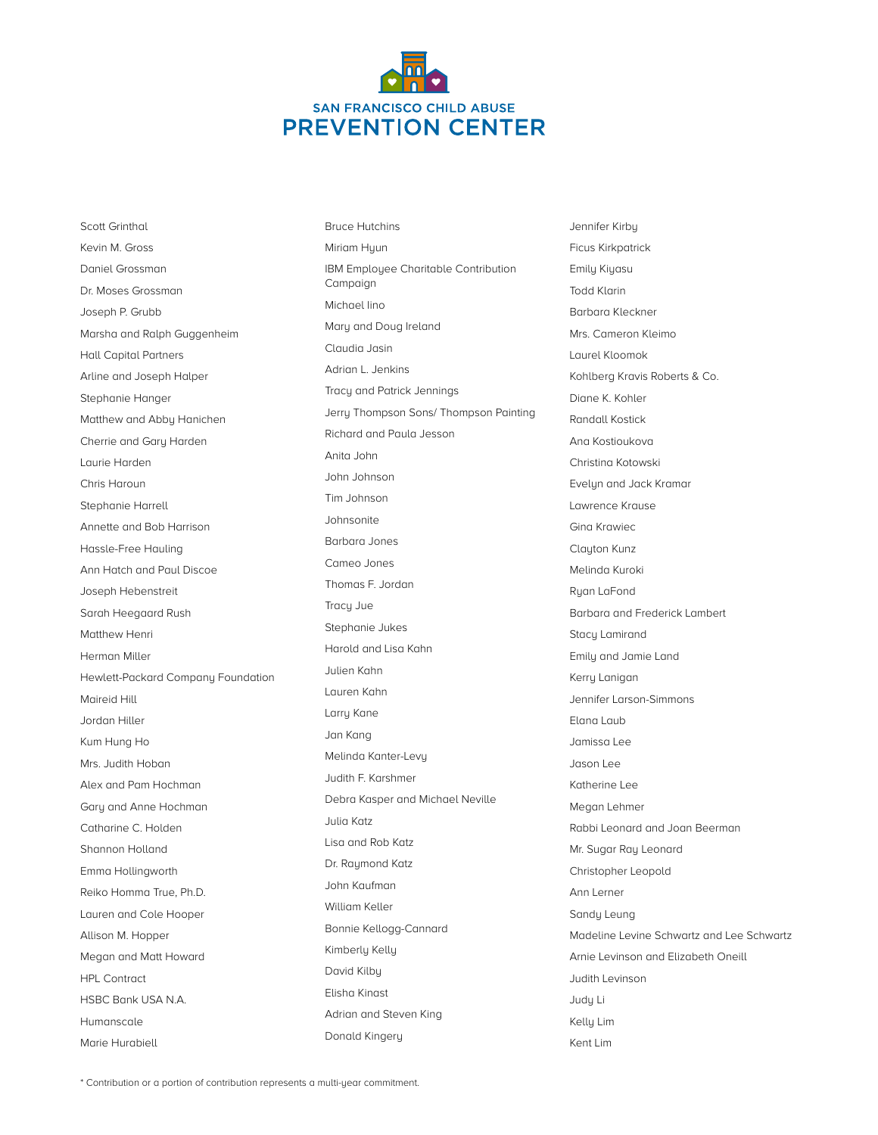

Scott Grinthal Kevin M. Gross Daniel Grossman Dr. Moses Grossman Joseph P. Grubb Marsha and Ralph Guggenheim Hall Capital Partners Arline and Joseph Halper Stephanie Hanger Matthew and Abby Hanichen Cherrie and Gary Harden Laurie Harden Chris Haroun Stephanie Harrell Annette and Bob Harrison Hassle-Free Hauling Ann Hatch and Paul Discoe Joseph Hebenstreit Sarah Heegaard Rush Matthew Henri Herman Miller Hewlett-Packard Company Foundation Maireid Hill Jordan Hiller Kum Hung Ho Mrs. Judith Hoban Alex and Pam Hochman Gary and Anne Hochman Catharine C. Holden Shannon Holland Emma Hollingworth Reiko Homma True, Ph.D. Lauren and Cole Hooper Allison M. Hopper Megan and Matt Howard HPL Contract HSBC Bank USA N.A. Humanscale

Marie Hurabiell

Bruce Hutchins Miriam Hyun IBM Employee Charitable Contribution Campaign Michael Iino Mary and Doug Ireland Claudia Jasin Adrian L. Jenkins Tracy and Patrick Jennings Jerry Thompson Sons/ Thompson Painting Richard and Paula Jesson Anita John John Johnson Tim Johnson Johnsonite Barbara Jones Cameo Jones Thomas F. Jordan Tracy Jue Stephanie Jukes Harold and Lisa Kahn Julien Kahn Lauren Kahn Larry Kane Jan Kang Melinda Kanter-Levy Judith F. Karshmer Debra Kasper and Michael Neville Julia Katz Lisa and Rob Katz Dr. Raumond Katz John Kaufman William Keller Bonnie Kellogg-Cannard Kimberly Kelly David Kilby Elisha Kinast Adrian and Steven King Donald Kingery

Jennifer Kirby Ficus Kirkpatrick Emily Kiyasu Todd Klarin Barbara Kleckner Mrs. Cameron Kleimo Laurel Kloomok Kohlberg Kravis Roberts & Co. Diane K. Kohler Randall Kostick Ana Kostioukova Christina Kotowski Evelyn and Jack Kramar Lawrence Krause Gina Krawiec Clayton Kunz Melinda Kuroki Ryan LaFond Barbara and Frederick Lambert Stacy Lamirand Emily and Jamie Land Kerry Lanigan Jennifer Larson-Simmons Elana Laub Jamissa Lee Jason Lee Katherine Lee Megan Lehmer Rabbi Leonard and Joan Beerman Mr. Sugar Ray Leonard Christopher Leopold Ann Lerner Sandy Leung Madeline Levine Schwartz and Lee Schwartz Arnie Levinson and Elizabeth Oneill Judith Levinson Judy Li Kelly Lim Kent Lim

\* Contribution or a portion of contribution represents a multi-year commitment.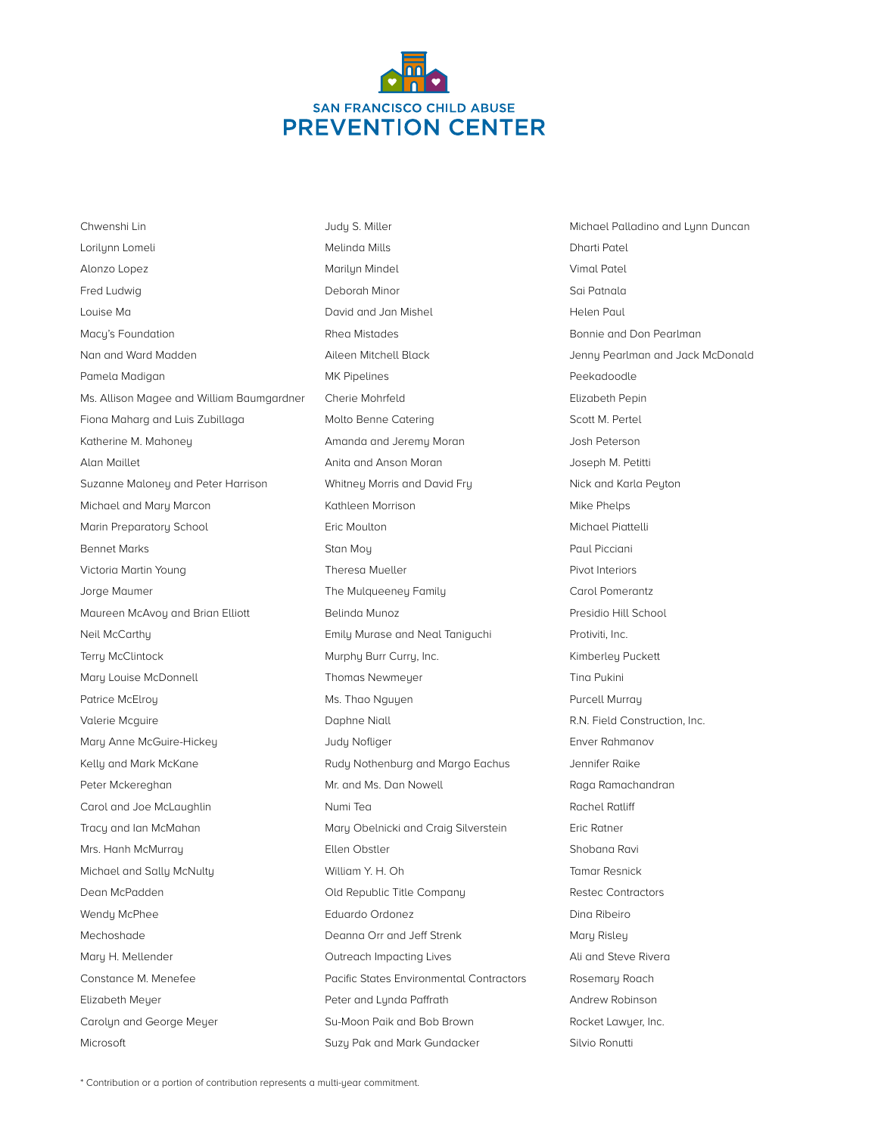

Chwenshi Lin Lorilynn Lomeli Alonzo Lopez Fred Ludwig Louise Ma Macy's Foundation Nan and Ward Madden Pamela Madigan Ms. Allison Magee and William Baumgardner Fiona Maharg and Luis Zubillaga Katherine M. Mahoney Alan Maillet Suzanne Maloney and Peter Harrison Michael and Mary Marcon Marin Preparatory School Bennet Marks Victoria Martin Young Jorge Maumer Maureen McAvoy and Brian Elliott Neil McCarthy Terry McClintock Mary Louise McDonnell Patrice McElroy Valerie Mcguire Mary Anne McGuire-Hickey Kelly and Mark McKane Peter Mckereghan Carol and Joe McLaughlin Tracy and Ian McMahan Mrs. Hanh McMurray Michael and Sally McNulty Dean McPadden Wendy McPhee Mechoshade Mary H. Mellender Constance M. Menefee Elizabeth Meyer Carolyn and George Meyer

Judy S. Miller Melinda Mills Marilyn Mindel Deborah Minor David and Jan Mishel Rhea Mistades Aileen Mitchell Black MK Pipelines Cherie Mohrfeld Molto Benne Catering Amanda and Jeremy Moran Anita and Anson Moran Whitney Morris and David Fry Kathleen Morrison Eric Moulton Stan Moy Theresa Mueller The Mulqueeney Family Belinda Munoz Emily Murase and Neal Taniguchi Murphy Burr Curry, Inc. Thomas Newmeyer Ms. Thao Nguyen Daphne Niall Judy Nofliger Rudy Nothenburg and Margo Eachus Mr. and Ms. Dan Nowell Numi Tea Mary Obelnicki and Craig Silverstein Ellen Obstler William Y. H. Oh Old Republic Title Company Eduardo Ordonez Deanna Orr and Jeff Strenk Outreach Impacting Lives Pacific States Environmental Contractors Peter and Lynda Paffrath Su-Moon Paik and Bob Brown Suzy Pak and Mark Gundacker

Michael Palladino and Lynn Duncan Dharti Patel Vimal Patel Sai Patnala Helen Paul Bonnie and Don Pearlman Jenny Pearlman and Jack McDonald Peekadoodle Elizabeth Pepin Scott M. Pertel Josh Peterson Joseph M. Petitti Nick and Karla Peyton Mike Phelps Michael Piattelli Paul Picciani Pivot Interiors Carol Pomerantz Presidio Hill School Protiviti, Inc. Kimberley Puckett Tina Pukini Purcell Murray R.N. Field Construction, Inc. Enver Rahmanov Jennifer Raike Raga Ramachandran Rachel Ratliff Eric Ratner Shobana Ravi Tamar Resnick Restec Contractors Dina Ribeiro Mary Risley Ali and Steve Rivera Rosemary Roach Andrew Robinson Rocket Lawyer, Inc. Silvio Ronutti

Microsoft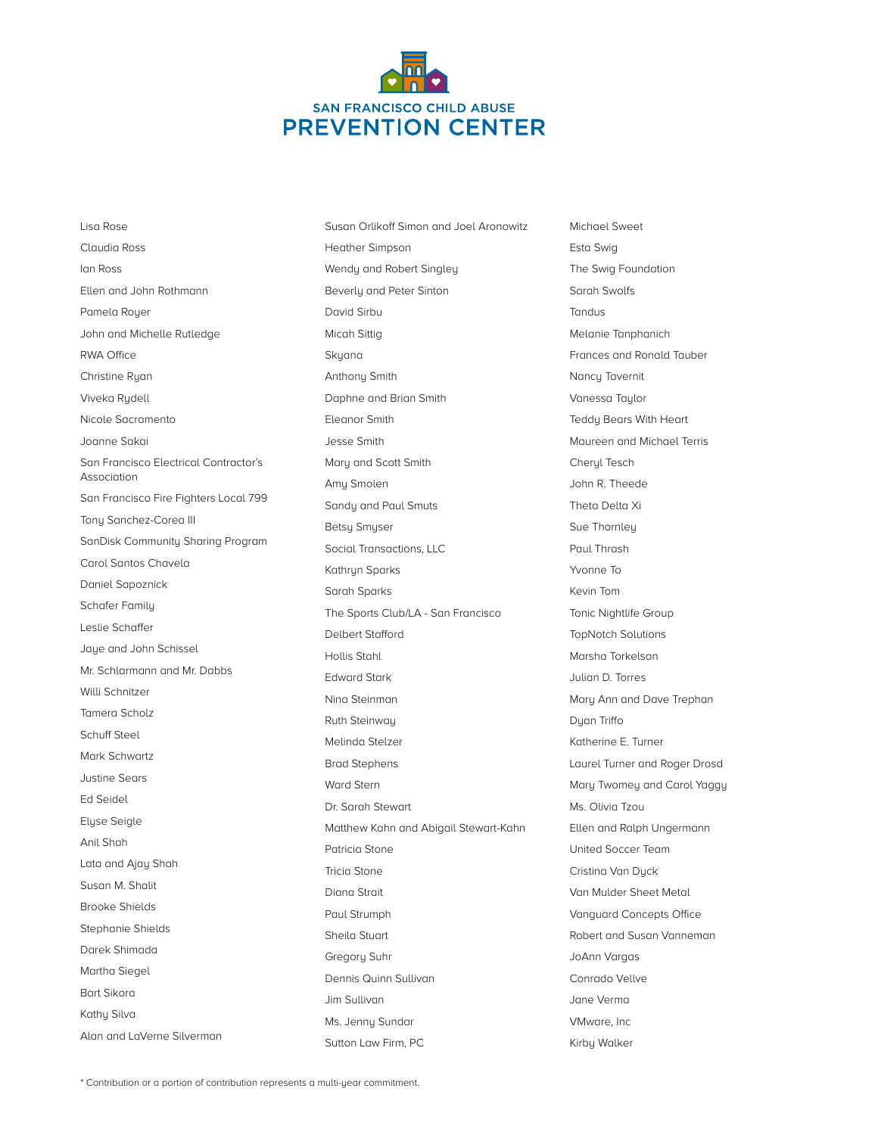

Lisa Rose Claudia Ross Ian Ross Ellen and John Rothmann Pamela Royer John and Michelle Rutledge RWA Office Christine Ryan Viveka Rydell Nicole Sacramento Joanne Sakai San Francisco Electrical Contractor's Association San Francisco Fire Fighters Local 799 Tony Sanchez-Corea III SanDisk Community Sharing Program Carol Santos Chavela Daniel Sapoznick Schafer Family Leslie Schaffer Jaye and John Schissel Mr. Schlarmann and Mr. Dabbs Willi Schnitzer Tamera Scholz Schuff Steel Mark Schwartz Justine Sears Ed Seidel Elyse Seigle Anil Shah Lata and Ajay Shah Susan M. Shalit Brooke Shields Stephanie Shields Darek Shimada Martha Siegel Bart Sikora Kathy Silva Alan and LaVerne Silverman

Susan Orlikoff Simon and Joel Aronowitz Heather Simpson Wendy and Robert Singley Beverly and Peter Sinton David Sirbu Micah Sittig Skyana Anthony Smith Daphne and Brian Smith Eleanor Smith Jesse Smith Mary and Scott Smith Amy Smolen Sandy and Paul Smuts Betsy Smyser Social Transactions, LLC Kathryn Sparks Sarah Sparks The Sports Club/LA - San Francisco Delbert Stafford Hollis Stahl Edward Stark Nina Steinman Ruth Steinway Melinda Stelzer Brad Stephens Ward Stern Dr. Sarah Stewart Matthew Kahn and Abigail Stewart-Kahn Patricia Stone Tricia Stone Diana Strait Paul Strumph Sheila Stuart Gregory Suhr Dennis Quinn Sullivan Jim Sullivan Ms. Jenny Sundar Sutton Law Firm, PC

Michael Sweet Esta Swig The Swig Foundation Sarah Swolfs **Tandus** Melanie Tanphanich Frances and Ronald Tauber Nancy Tavernit Vanessa Taylor Teddy Bears With Heart Maureen and Michael Terris Cheryl Tesch John R. Theede Theta Delta Xi Sue Thornley Paul Thrash Yvonne To Kevin Tom Tonic Nightlife Group TopNotch Solutions Marsha Torkelson Julian D. Torres Mary Ann and Dave Trephan Dyan Triffo Katherine E. Turner Laurel Turner and Roger Drosd Mary Twomey and Carol Yaggy Ms. Olivia Tzou Ellen and Ralph Ungermann United Soccer Team Cristina Van Duck Van Mulder Sheet Metal Vanguard Concepts Office Robert and Susan Vanneman JoAnn Vargas Conrado Vellve Jane Verma VMware, Inc Kirby Walker